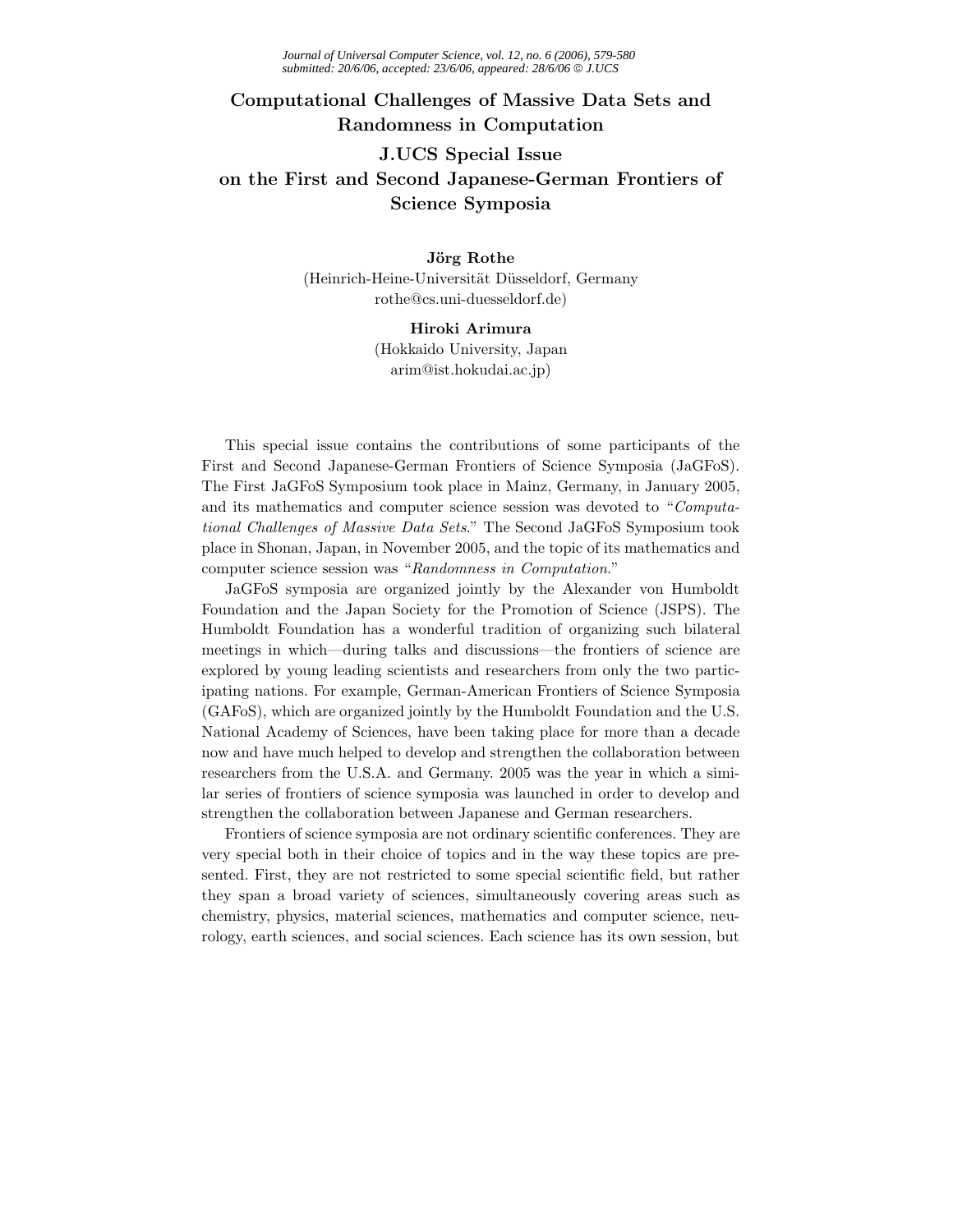## **Computational Challenges of Massive Data Sets and Randomness in Computation J.UCS Special Issue on the First and Second Japanese-German Frontiers of Science Symposia**

## (Heinrich-Heine-Universität Düsseldorf, Germany rothe@cs.uni-duesseldorf.de)

Hiroki Arimura (Hokkaido University, Japan arim@ist.hokudai.ac.jp)

This special issue contains the contributions of some participants of the First and Second Japanese-German Frontiers of Science Symposia (JaGFoS). The First JaGFoS Symposium took place in Mainz, Germany, in January 2005, and its mathematics and computer science session was devoted to "*Computational Challenges of Massive Data Sets*." The Second JaGFoS Symposium took place in Shonan, Japan, in November 2005, and the topic of its mathematics and computer science session was "*Randomness in Computation*."

JaGFoS symposia are organized jointly by the Alexander von Humboldt Foundation and the Japan Society for the Promotion of Science (JSPS). The Humboldt Foundation has a wonderful tradition of organizing such bilateral meetings in which—during talks and discussions—the frontiers of science are explored by young leading scientists and researchers from only the two participating nations. For example, German-American Frontiers of Science Symposia (GAFoS), which are organized jointly by the Humboldt Foundation and the U.S. National Academy of Sciences, have been taking place for more than a decade now and have much helped to develop and strengthen the collaboration between researchers from the U.S.A. and Germany. 2005 was the year in which a similar series of frontiers of science symposia was launched in order to develop and strengthen the collaboration between Japanese and German researchers.

Frontiers of science symposia are not ordinary scientific conferences. They are very special both in their choice of topics and in the way these topics are presented. First, they are not restricted to some special scientific field, but rather they span a broad variety of sciences, simultaneously covering areas such as chemistry, physics, material sciences, mathematics and computer science, neurology, earth sciences, and social sciences. Each science has its own session, but